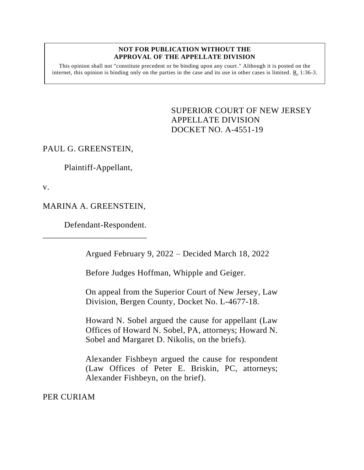## **NOT FOR PUBLICATION WITHOUT THE APPROVAL OF THE APPELLATE DIVISION**

This opinion shall not "constitute precedent or be binding upon any court." Although it is posted on the internet, this opinion is binding only on the parties in the case and its use in other cases is limited.  $R_1$  1:36-3.

> <span id="page-0-0"></span>SUPERIOR COURT OF NEW JERSEY APPELLATE DIVISION DOCKET NO. A-4551-19

## PAUL G. GREENSTEIN,

Plaintiff-Appellant,

v.

## MARINA A. GREENSTEIN,

\_\_\_\_\_\_\_\_\_\_\_\_\_\_\_\_\_\_\_\_\_\_\_\_

Defendant-Respondent.

Argued February 9, 2022 – Decided March 18, 2022

Before Judges Hoffman, Whipple and Geiger.

On appeal from the Superior Court of New Jersey, Law Division, Bergen County, Docket No. L-4677-18.

Howard N. Sobel argued the cause for appellant (Law Offices of Howard N. Sobel, PA, attorneys; Howard N. Sobel and Margaret D. Nikolis, on the briefs).

Alexander Fishbeyn argued the cause for respondent (Law Offices of Peter E. Briskin, PC, attorneys; Alexander Fishbeyn, on the brief).

PER CURIAM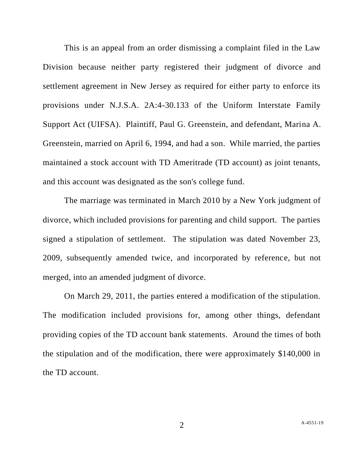This is an appeal from an order dismissing a complaint filed in the Law Division because neither party registered their judgment of divorce and settlement agreement in New Jersey as required for either party to enforce its provisions under N.J.S.A. 2A:4-30.133 of the Uniform Interstate Family Support Act (UIFSA). Plaintiff, Paul G. Greenstein, and defendant, Marina A. Greenstein, married on April 6, 1994, and had a son. While married, the parties maintained a stock account with TD Ameritrade (TD account) as joint tenants, and this account was designated as the son's college fund.

The marriage was terminated in March 2010 by a New York judgment of divorce, which included provisions for parenting and child support. The parties signed a stipulation of settlement. The stipulation was dated November 23, 2009, subsequently amended twice, and incorporated by reference, but not merged, into an amended judgment of divorce.

On March 29, 2011, the parties entered a modification of the stipulation. The modification included provisions for, among other things, defendant providing copies of the TD account bank statements. Around the times of both the stipulation and of the modification, there were approximately \$140,000 in the TD account.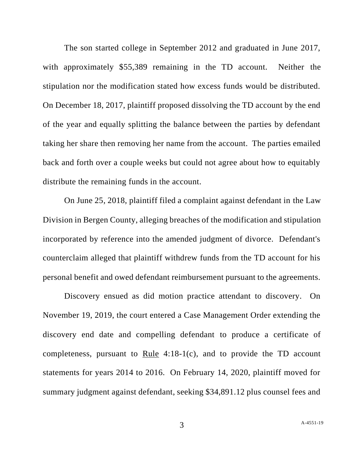The son started college in September 2012 and graduated in June 2017, with approximately \$55,389 remaining in the TD account. Neither the stipulation nor the modification stated how excess funds would be distributed. On December 18, 2017, plaintiff proposed dissolving the TD account by the end of the year and equally splitting the balance between the parties by defendant taking her share then removing her name from the account. The parties emailed back and forth over a couple weeks but could not agree about how to equitably distribute the remaining funds in the account.

On June 25, 2018, plaintiff filed a complaint against defendant in the Law Division in Bergen County, alleging breaches of the modification and stipulation incorporated by reference into the amended judgment of divorce. Defendant's counterclaim alleged that plaintiff withdrew funds from the TD account for his personal benefit and owed defendant reimbursement pursuant to the agreements.

Discovery ensued as did motion practice attendant to discovery. On November 19, 2019, the court entered a Case Management Order extending the discovery end date and compelling defendant to produce a certificate of completeness, pursuant to Rule 4:18-1(c), and to provide the TD account statements for years 2014 to 2016. On February 14, 2020, plaintiff moved for summary judgment against defendant, seeking \$34,891.12 plus counsel fees and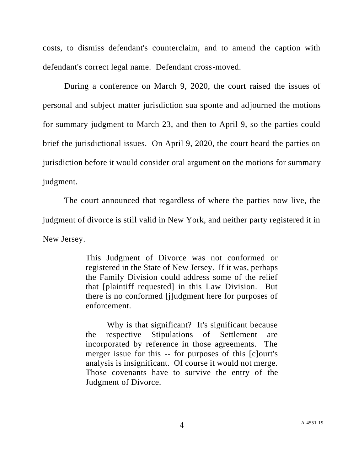costs, to dismiss defendant's counterclaim, and to amend the caption with defendant's correct legal name. Defendant cross-moved.

During a conference on March 9, 2020, the court raised the issues of personal and subject matter jurisdiction sua sponte and adjourned the motions for summary judgment to March 23, and then to April 9, so the parties could brief the jurisdictional issues. On April 9, 2020, the court heard the parties on jurisdiction before it would consider oral argument on the motions for summary judgment.

The court announced that regardless of where the parties now live, the judgment of divorce is still valid in New York, and neither party registered it in New Jersey.

> This Judgment of Divorce was not conformed or registered in the State of New Jersey. If it was, perhaps the Family Division could address some of the relief that [plaintiff requested] in this Law Division. But there is no conformed [j]udgment here for purposes of enforcement.

> Why is that significant? It's significant because the respective Stipulations of Settlement are incorporated by reference in those agreements. The merger issue for this -- for purposes of this [c]ourt's analysis is insignificant. Of course it would not merge. Those covenants have to survive the entry of the Judgment of Divorce.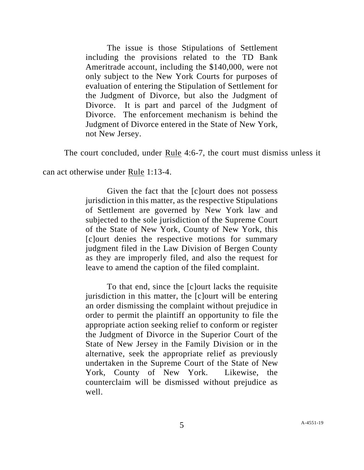The issue is those Stipulations of Settlement including the provisions related to the TD Bank Ameritrade account, including the \$140,000, were not only subject to the New York Courts for purposes of evaluation of entering the Stipulation of Settlement for the Judgment of Divorce, but also the Judgment of Divorce. It is part and parcel of the Judgment of Divorce. The enforcement mechanism is behind the Judgment of Divorce entered in the State of New York, not New Jersey.

The court concluded, under Rule 4:6-7, the court must dismiss unless it

can act otherwise under <u>Rule</u> 1:13-4.

Given the fact that the [c]ourt does not possess jurisdiction in this matter, as the respective Stipulations of Settlement are governed by New York law and subjected to the sole jurisdiction of the Supreme Court of the State of New York, County of New York, this [c]ourt denies the respective motions for summary judgment filed in the Law Division of Bergen County as they are improperly filed, and also the request for leave to amend the caption of the filed complaint.

To that end, since the [c]ourt lacks the requisite jurisdiction in this matter, the [c]ourt will be entering an order dismissing the complaint without prejudice in order to permit the plaintiff an opportunity to file the appropriate action seeking relief to conform or register the Judgment of Divorce in the Superior Court of the State of New Jersey in the Family Division or in the alternative, seek the appropriate relief as previously undertaken in the Supreme Court of the State of New York, County of New York. Likewise, the counterclaim will be dismissed without prejudice as well.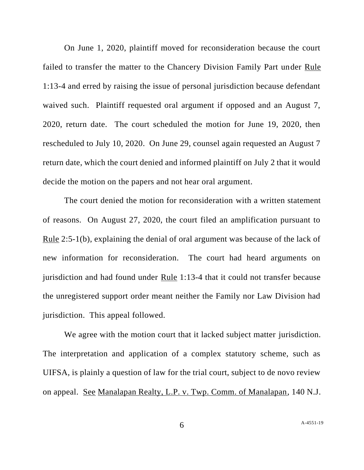On June 1, 2020, plaintiff moved for reconsideration because the court failed to transfer the matter to the Chancery Division Family Part under Rule 1:13-4 and erred by raising the issue of personal jurisdiction because defendant waived such. Plaintiff requested oral argument if opposed and an August 7, 2020, return date. The court scheduled the motion for June 19, 2020, then rescheduled to July 10, 2020. On June 29, counsel again requested an August 7 return date, which the court denied and informed plaintiff on July 2 that it would decide the motion on the papers and not hear oral argument.

The court denied the motion for reconsideration with a written statement of reasons. On August 27, 2020, the court filed an amplification pursuant to Rule 2:5-1(b), explaining the denial of oral argument was because of the lack of new information for reconsideration. The court had heard arguments on jurisdiction and had found under Rule 1:13-4 that it could not transfer because the unregistered support order meant neither the Family nor Law Division had jurisdiction. This appeal followed.

We agree with the motion court that it lacked subject matter jurisdiction. The interpretation and application of a complex statutory scheme, such as UIFSA, is plainly a question of law for the trial court, subject to de novo review on appeal. See Manalapan Realty, L.P. v. Twp. Comm. of Manalapan, 140 N.J.

6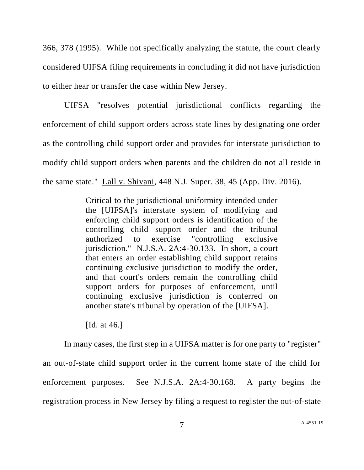366, 378 (1995). While not specifically analyzing the statute, the court clearly considered UIFSA filing requirements in concluding it did not have jurisdiction to either hear or transfer the case within New Jersey.

UIFSA "resolves potential jurisdictional conflicts regarding the enforcement of child support orders across state lines by designating one order as the controlling child support order and provides for interstate jurisdiction to modify child support orders when parents and the children do not all reside in the same state." Lall v. Shivani, 448 N.J. Super. 38, 45 (App. Div. 2016).

> Critical to the jurisdictional uniformity intended under the [UIFSA]'s interstate system of modifying and enforcing child support orders is identification of the controlling child support order and the tribunal authorized to exercise "controlling exclusive jurisdiction." N.J.S.A. 2A:4-30.133. In short, a court that enters an order establishing child support retains continuing exclusive jurisdiction to modify the order, and that court's orders remain the controlling child support orders for purposes of enforcement, until continuing exclusive jurisdiction is conferred on another state's tribunal by operation of the [UIFSA].

[Id. at 46.]

In many cases, the first step in a UIFSA matter is for one party to "register" an out-of-state child support order in the current home state of the child for enforcement purposes. See N.J.S.A. 2A:4-30.168. A party begins the registration process in New Jersey by filing a request to register the out-of-state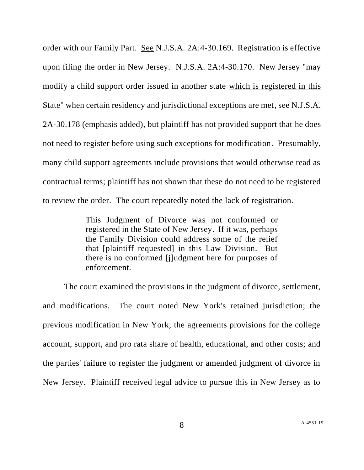order with our Family Part. See N.J.S.A. 2A:4-30.169. Registration is effective upon filing the order in New Jersey. N.J.S.A. 2A:4-30.170. New Jersey "may modify a child support order issued in another state which is registered in this State" when certain residency and jurisdictional exceptions are met, see N.J.S.A. 2A-30.178 (emphasis added), but plaintiff has not provided support that he does not need to register before using such exceptions for modification. Presumably, many child support agreements include provisions that would otherwise read as contractual terms; plaintiff has not shown that these do not need to be registered to review the order. The court repeatedly noted the lack of registration.

> This Judgment of Divorce was not conformed or registered in the State of New Jersey. If it was, perhaps the Family Division could address some of the relief that [plaintiff requested] in this Law Division. But there is no conformed [j]udgment here for purposes of enforcement.

The court examined the provisions in the judgment of divorce, settlement, and modifications. The court noted New York's retained jurisdiction; the previous modification in New York; the agreements provisions for the college account, support, and pro rata share of health, educational, and other costs; and the parties' failure to register the judgment or amended judgment of divorce in New Jersey. Plaintiff received legal advice to pursue this in New Jersey as to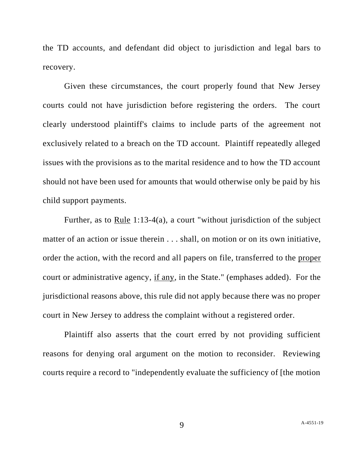the TD accounts, and defendant did object to jurisdiction and legal bars to recovery.

Given these circumstances, the court properly found that New Jersey courts could not have jurisdiction before registering the orders. The court clearly understood plaintiff's claims to include parts of the agreement not exclusively related to a breach on the TD account. Plaintiff repeatedly alleged issues with the provisions as to the marital residence and to how the TD account should not have been used for amounts that would otherwise only be paid by his child support payments.

Further, as to Rule 1:13-4(a), a court "without jurisdiction of the subject matter of an action or issue therein . . . shall, on motion or on its own initiative, order the action, with the record and all papers on file, transferred to the proper court or administrative agency, if any, in the State." (emphases added). For the jurisdictional reasons above, this rule did not apply because there was no proper court in New Jersey to address the complaint without a registered order.

Plaintiff also asserts that the court erred by not providing sufficient reasons for denying oral argument on the motion to reconsider. Reviewing courts require a record to "independently evaluate the sufficiency of [the motion